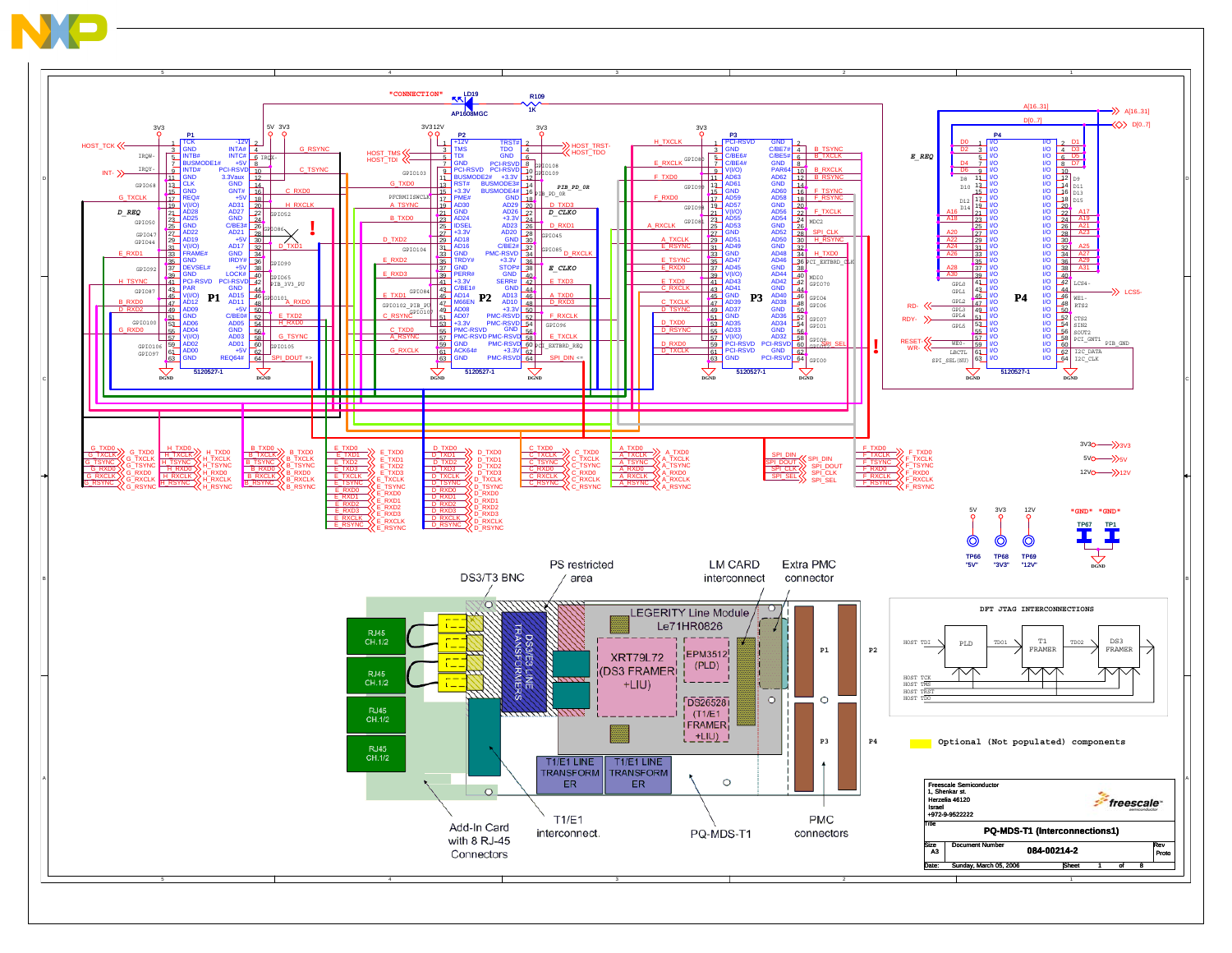

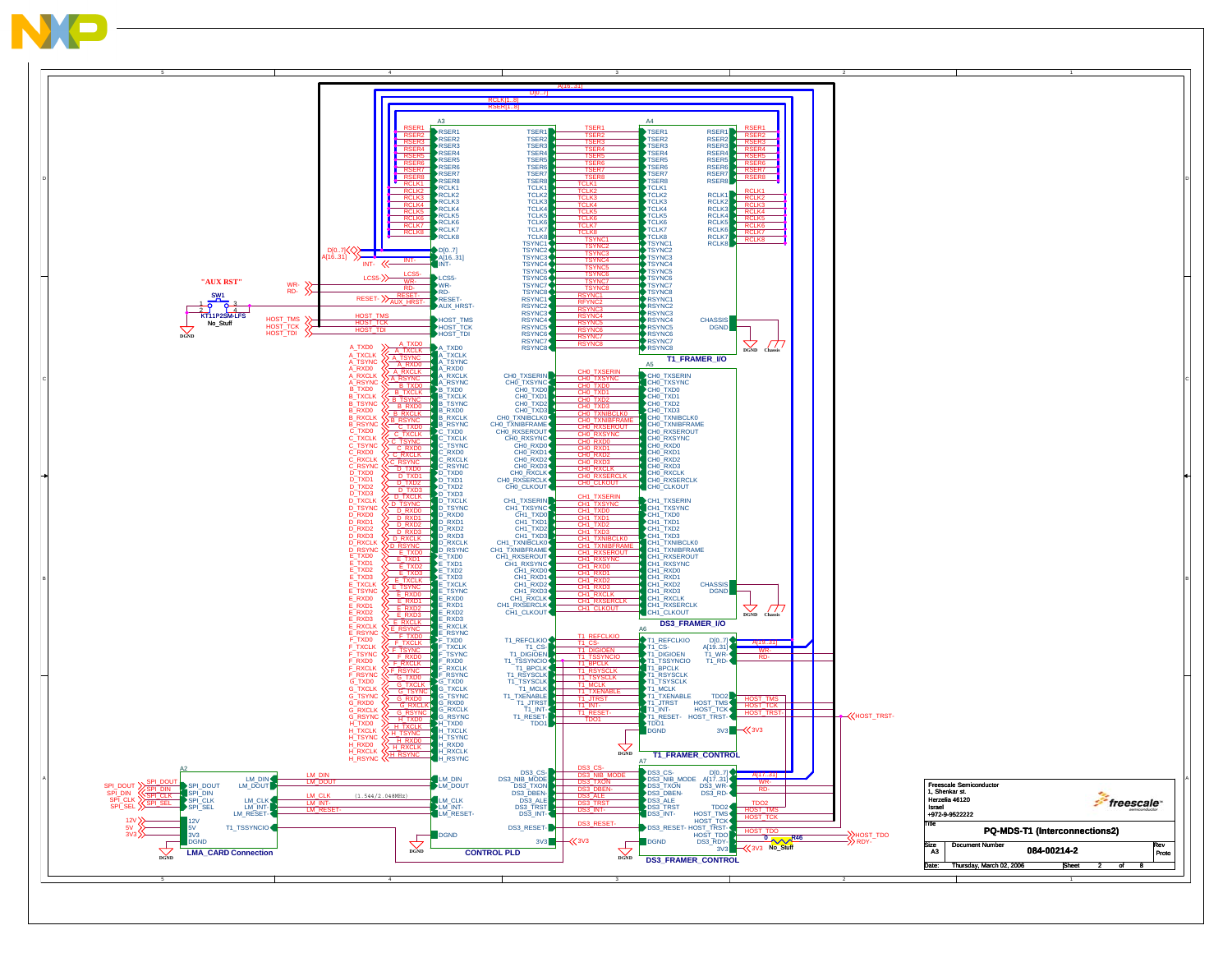

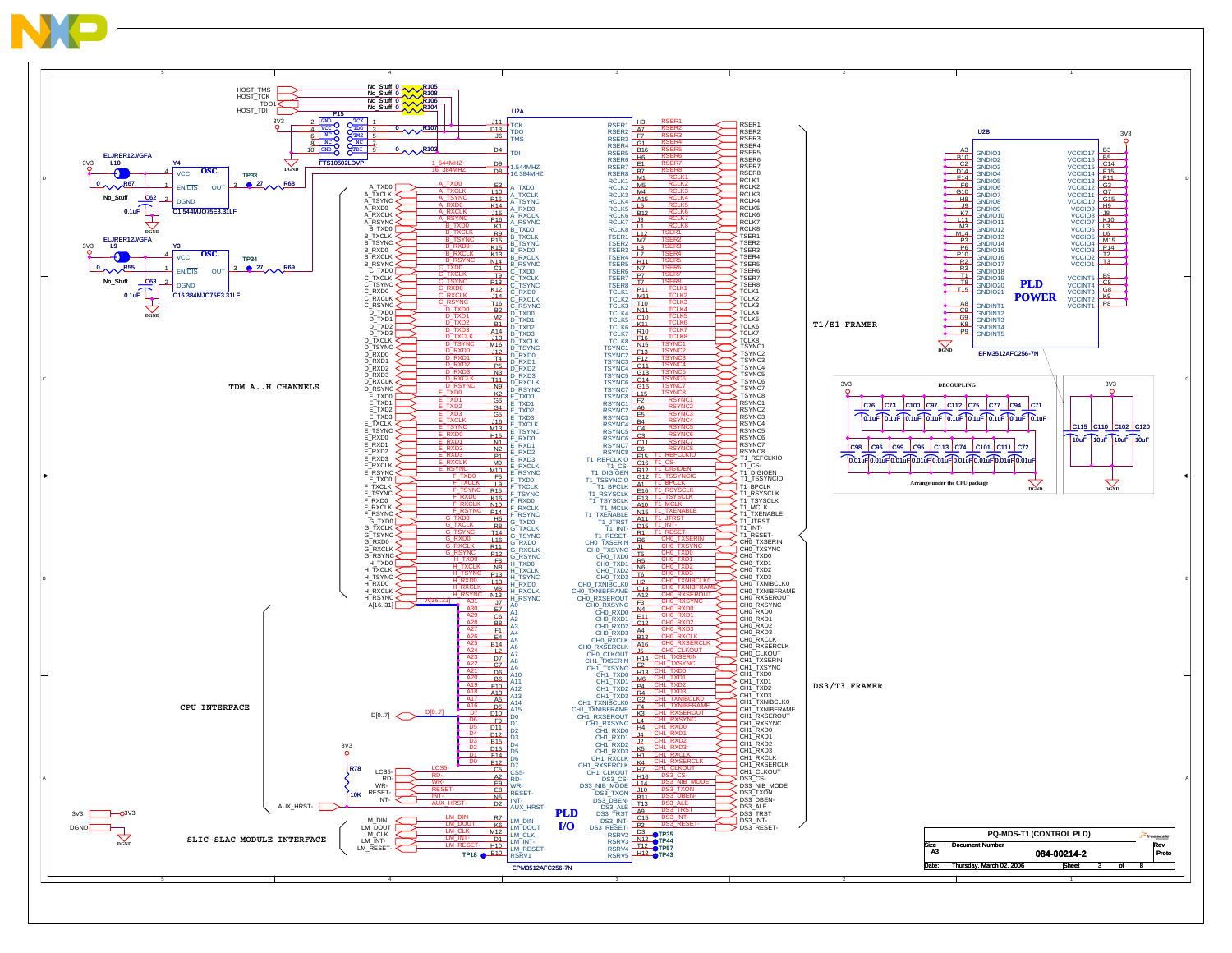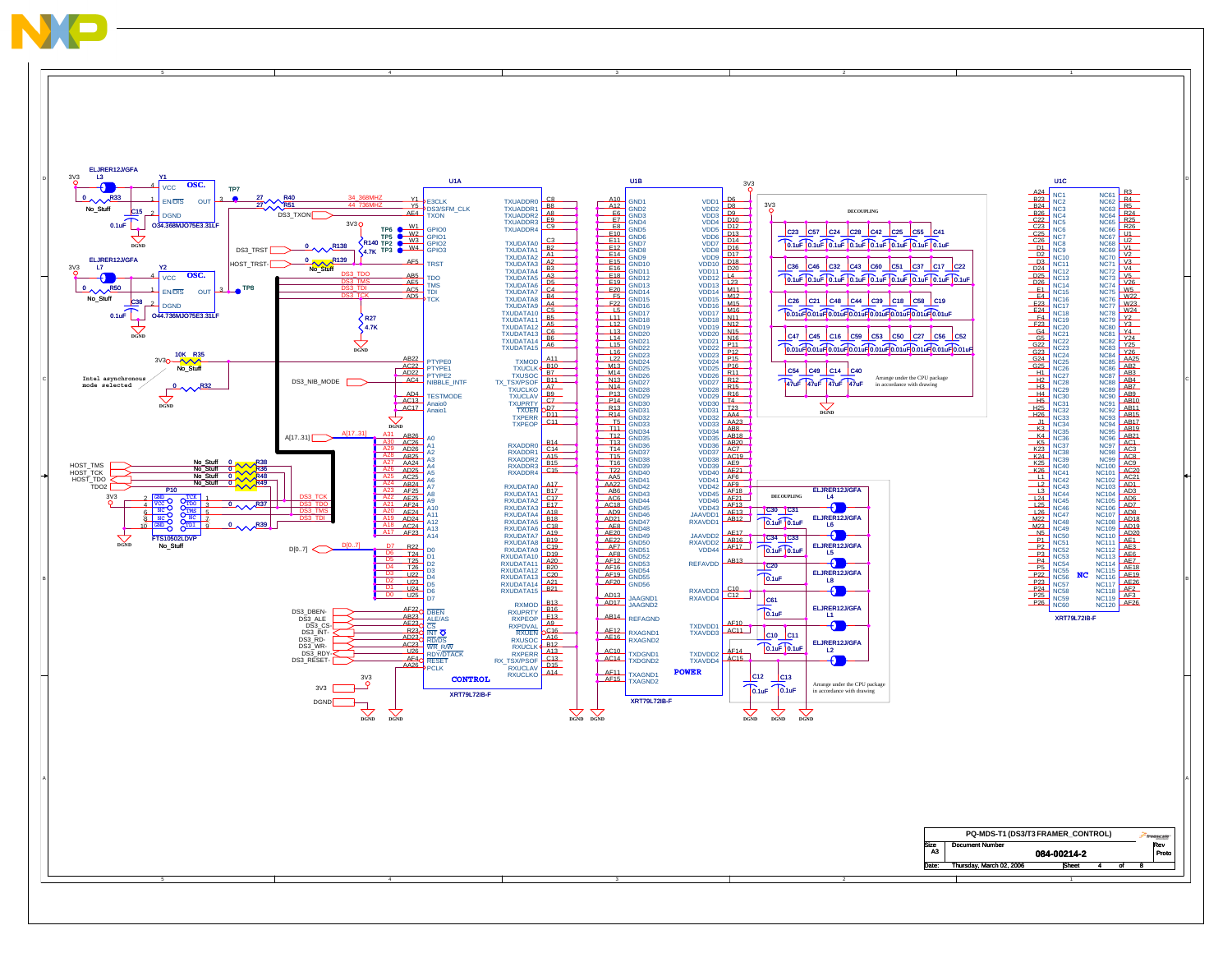

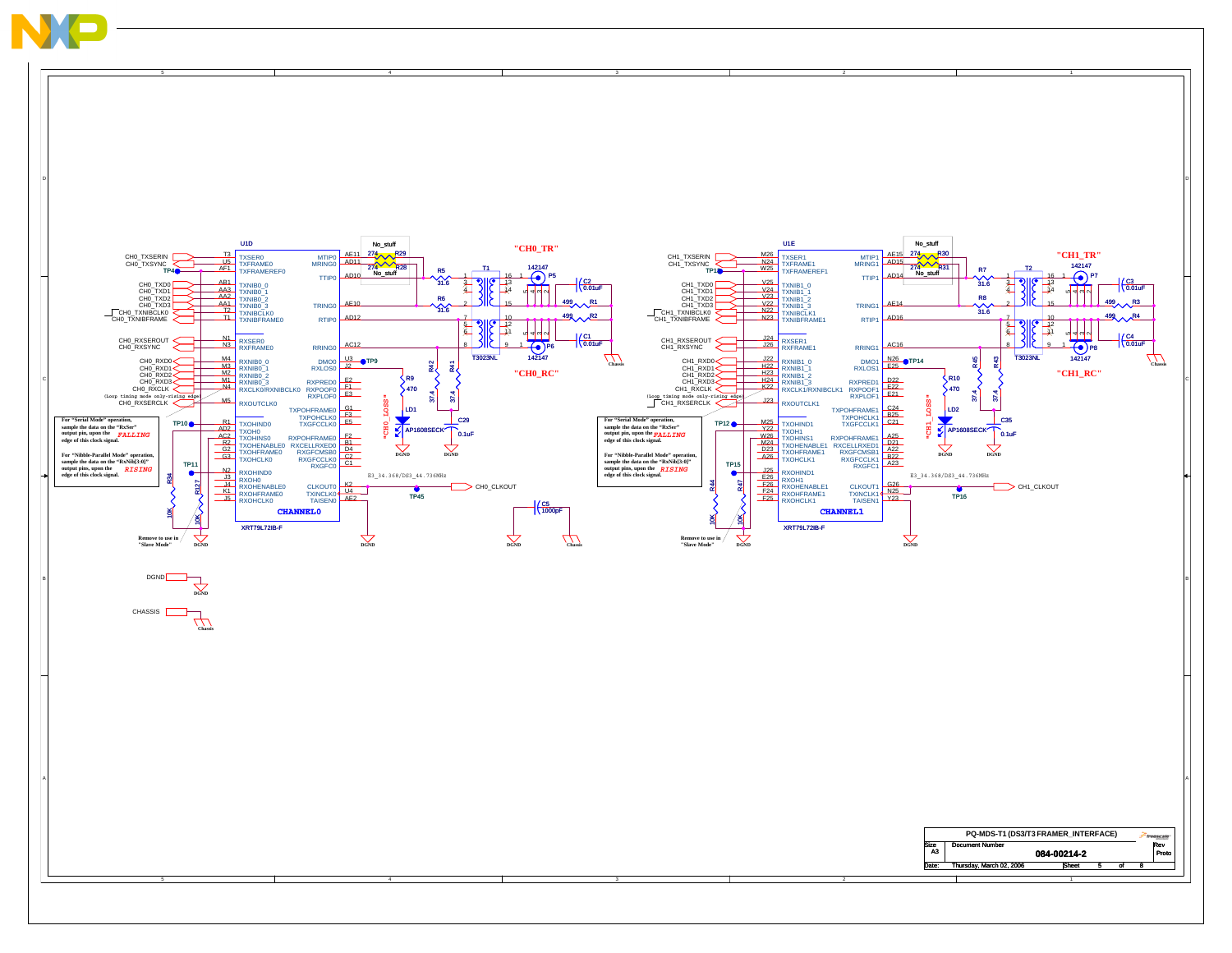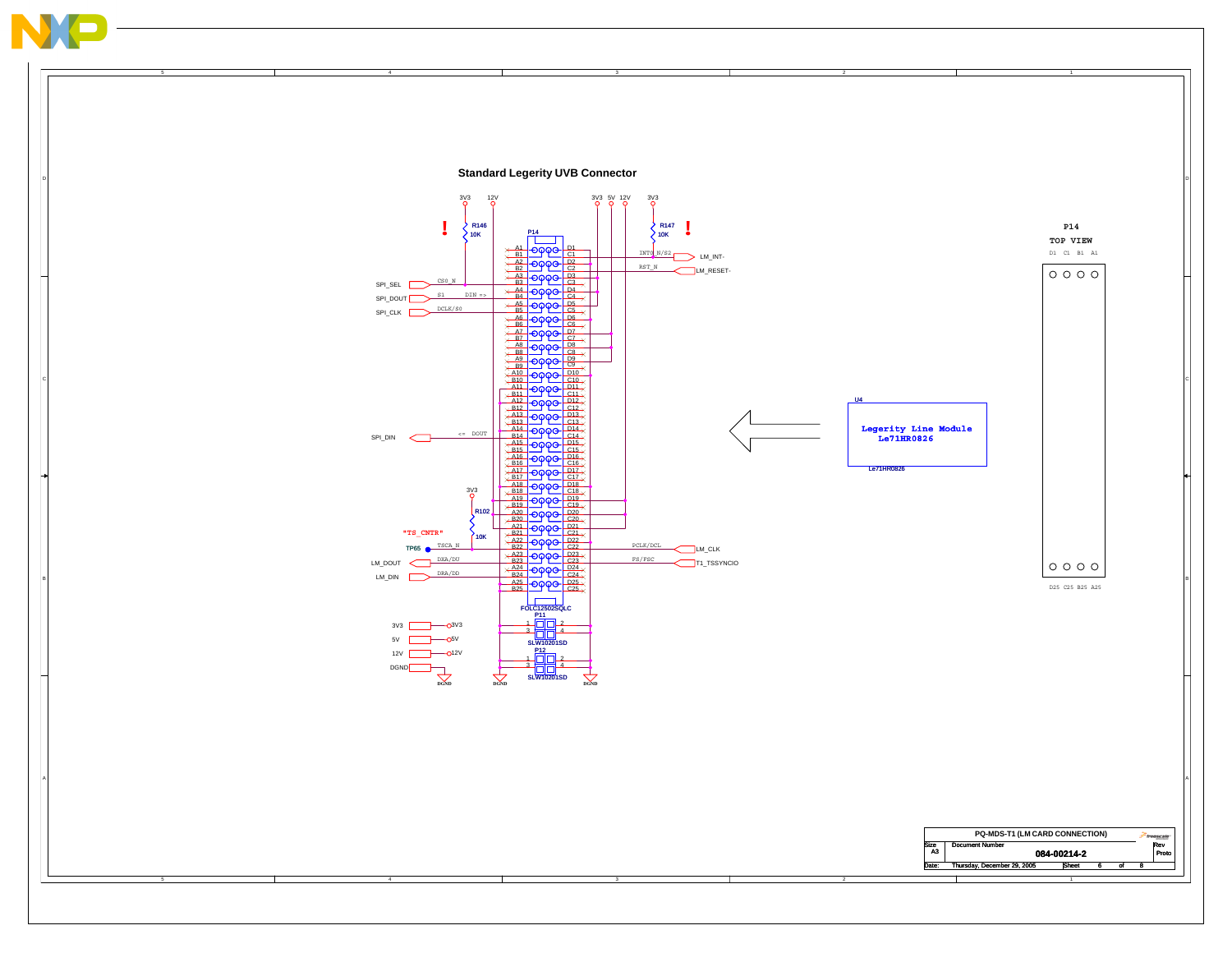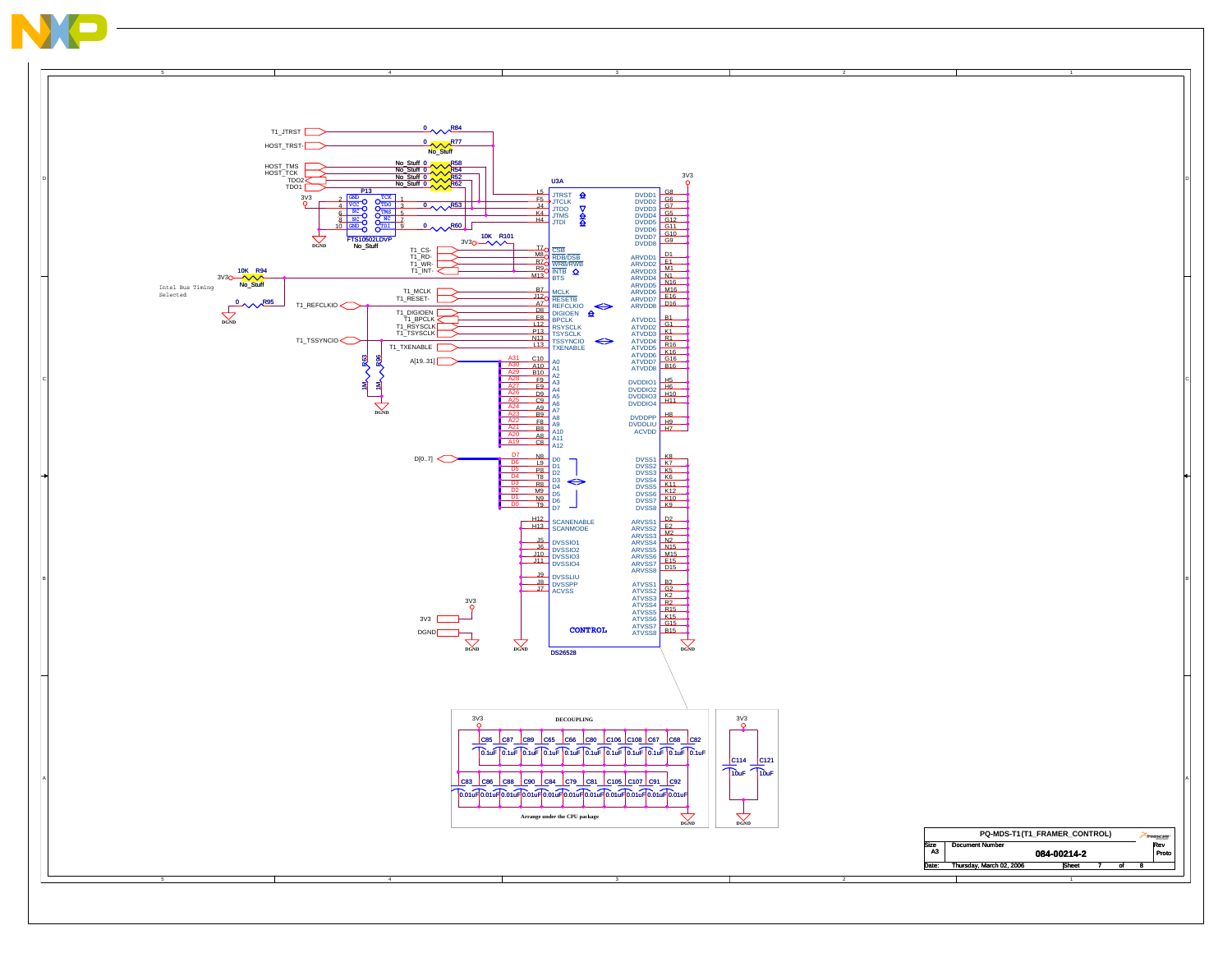